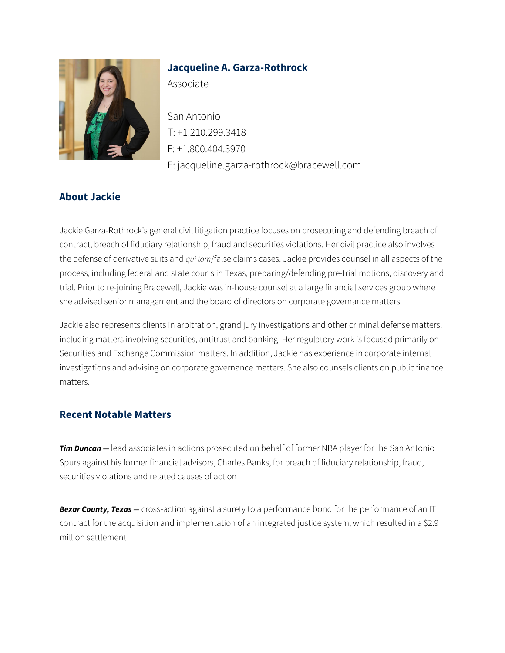

## **Jacqueline A. Garza-Rothrock**

Associate

San Antonio T: +1.210.299.3418 F: +1.800.404.3970 E: jacqueline.garza-rothrock@bracewell.com

## **About Jackie**

Jackie Garza-Rothrock's general civil litigation practice focuses on prosecuting and defending breach of contract, breach of fiduciary relationship, fraud and securities violations. Her civil practice also involves the defense of derivative suits and *qui tam*/false claims cases. Jackie provides counsel in all aspects of the process, including federal and state courts in Texas, preparing/defending pre-trial motions, discovery and trial. Prior to re-joining Bracewell, Jackie was in-house counsel at a large financial services group where she advised senior management and the board of directors on corporate governance matters.

Jackie also represents clients in arbitration, grand jury investigations and other criminal defense matters, including matters involving securities, antitrust and banking. Her regulatory work is focused primarily on Securities and Exchange Commission matters. In addition, Jackie has experience in corporate internal investigations and advising on corporate governance matters. She also counsels clients on public finance matters.

## **Recent Notable Matters**

*Tim Duncan —* lead associates in actions prosecuted on behalf of former NBA player for the San Antonio Spurs against his former financial advisors, Charles Banks, for breach of fiduciary relationship, fraud, securities violations and related causes of action

*Bexar County, Texas —* cross-action against a surety to a performance bond for the performance of an IT contract for the acquisition and implementation of an integrated justice system, which resulted in a \$2.9 million settlement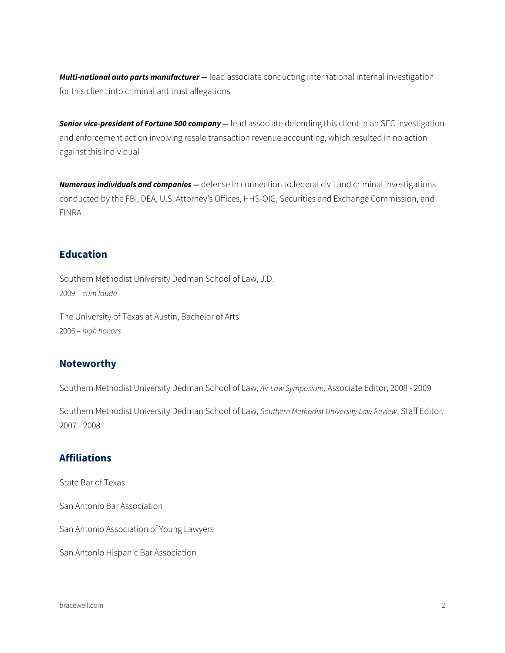*Multi-national auto parts manufacturer —* lead associate conducting international internal investigation for this client into criminal antitrust allegations

*Senior vice-president of Fortune 500 company —* lead associate defending this client in an SEC investigation and enforcement action involving resale transaction revenue accounting, which resulted in no action against this individual

*Numerous individuals and companies —* defense in connection to federal civil and criminal investigations conducted by the FBI, DEA, U.S. Attorney's Offices, HHS-OIG, Securities and Exchange Commission, and FINRA

### **Education**

Southern Methodist University Dedman School of Law, J.D. 2009 – *cum laude*

The University of Texas at Austin, Bachelor of Arts 2006 – *high honors*

### **Noteworthy**

Southern Methodist University Dedman School of Law, *Air Law Symposium*, Associate Editor, 2008 - 2009

Southern Methodist University Dedman School of Law, *Southern Methodist University Law Review*, Staff Editor, 2007 - 2008

### **Affiliations**

State Bar of Texas

San Antonio Bar Association

San Antonio Association of Young Lawyers

San Antonio Hispanic Bar Association